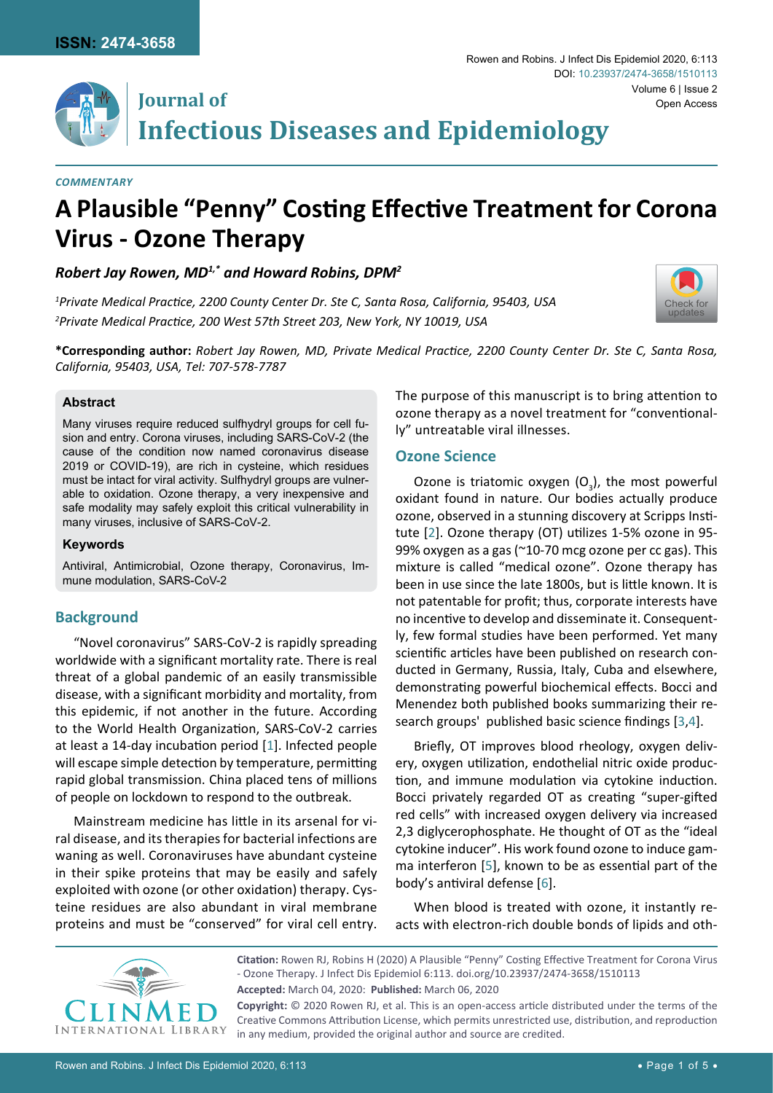

[Check for](http://crossmark.crossref.org/dialog/?doi=10.23937/2474-3658/1510113&domain=pdf) updates



# **Journal of Infectious Diseases and Epidemiology**

#### *Commentary*

# **A Plausible "Penny" Costing Effective Treatment for Corona Virus - Ozone Therapy**

## *Robert Jay Rowen, MD1,\* and Howard Robins, DPM2*

*1 Private Medical Practice, 2200 County Center Dr. Ste C, Santa Rosa, California, 95403, USA 2 Private Medical Practice, 200 West 57th Street 203, New York, NY 10019, USA*



#### **Abstract**

Many viruses require reduced sulfhydryl groups for cell fusion and entry. Corona viruses, including SARS-CoV-2 (the cause of the condition now named coronavirus disease 2019 or COVID-19), are rich in cysteine, which residues must be intact for viral activity. Sulfhydryl groups are vulnerable to oxidation. Ozone therapy, a very inexpensive and safe modality may safely exploit this critical vulnerability in many viruses, inclusive of SARS-CoV-2.

#### **Keywords**

Antiviral, Antimicrobial, Ozone therapy, Coronavirus, Immune modulation, SARS-CoV-2

# **Background**

"Novel coronavirus" SARS-CoV-2 is rapidly spreading worldwide with a significant mortality rate. There is real threat of a global pandemic of an easily transmissible disease, with a significant morbidity and mortality, from this epidemic, if not another in the future. According to the World Health Organization, SARS-CoV-2 carries at least a 14-day incubation period [\[1](#page-3-5)]. Infected people will escape simple detection by temperature, permitting rapid global transmission. China placed tens of millions of people on lockdown to respond to the outbreak.

Mainstream medicine has little in its arsenal for viral disease, and its therapies for bacterial infections are waning as well. Coronaviruses have abundant cysteine in their spike proteins that may be easily and safely exploited with ozone (or other oxidation) therapy. Cysteine residues are also abundant in viral membrane proteins and must be "conserved" for viral cell entry. The purpose of this manuscript is to bring attention to ozone therapy as a novel treatment for "conventionally" untreatable viral illnesses.

#### **Ozone Science**

Ozone is triatomic oxygen  $(O_3)$ , the most powerful oxidant found in nature. Our bodies actually produce ozone, observed in a stunning discovery at Scripps Institute [[2](#page-3-0)]. Ozone therapy (OT) utilizes 1-5% ozone in 95- 99% oxygen as a gas (~10-70 mcg ozone per cc gas). This mixture is called "medical ozone". Ozone therapy has been in use since the late 1800s, but is little known. It is not patentable for profit; thus, corporate interests have no incentive to develop and disseminate it. Consequently, few formal studies have been performed. Yet many scientific articles have been published on research conducted in Germany, Russia, Italy, Cuba and elsewhere, demonstrating powerful biochemical effects. Bocci and Menendez both published books summarizing their research groups' published basic science findings [\[3](#page-3-1),[4](#page-3-2)].

Briefly, OT improves blood rheology, oxygen delivery, oxygen utilization, endothelial nitric oxide production, and immune modulation via cytokine induction. Bocci privately regarded OT as creating "super-gifted red cells" with increased oxygen delivery via increased 2,3 diglycerophosphate. He thought of OT as the "ideal cytokine inducer". His work found ozone to induce gamma interferon [[5](#page-3-3)], known to be as essential part of the body's antiviral defense [[6](#page-3-4)].

When blood is treated with ozone, it instantly reacts with electron-rich double bonds of lipids and oth-



**Citation:** Rowen RJ, Robins H (2020) A Plausible "Penny" Costing Effective Treatment for Corona Virus - Ozone Therapy. J Infect Dis Epidemiol 6:113. [doi.org/10.23937/2474-3658/1510113](https://doi.org/10.23937/2474-3658/1510113) **Accepted:** March 04, 2020: **Published:** March 06, 2020 **Copyright:** © 2020 Rowen RJ, et al. This is an open-access article distributed under the terms of the Creative Commons Attribution License, which permits unrestricted use, distribution, and reproduction

in any medium, provided the original author and source are credited.

Rowen and Robins. J Infect Dis Epidemiol 2020, 6:113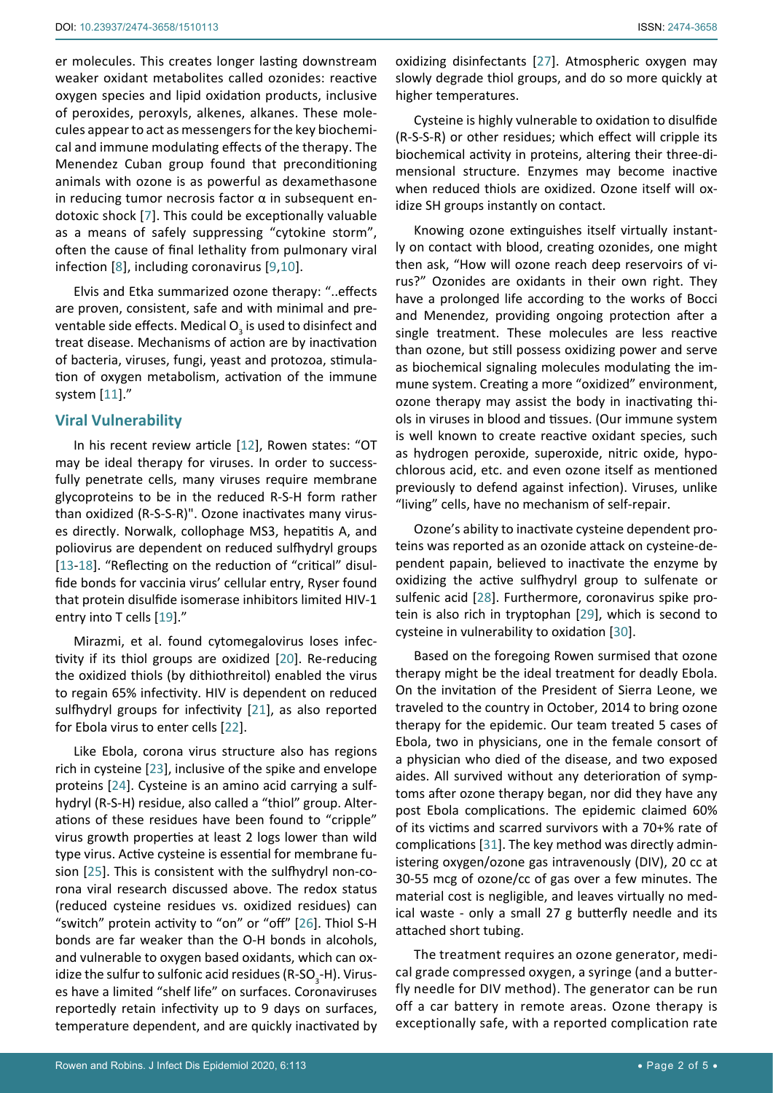er molecules. This creates longer lasting downstream weaker oxidant metabolites called ozonides: reactive oxygen species and lipid oxidation products, inclusive of peroxides, peroxyls, alkenes, alkanes. These molecules appear to act as messengers for the key biochemical and immune modulating effects of the therapy. The Menendez Cuban group found that preconditioning animals with ozone is as powerful as dexamethasone in reducing tumor necrosis factor  $\alpha$  in subsequent endotoxic shock [\[7\]](#page-3-6). This could be exceptionally valuable as a means of safely suppressing "cytokine storm", often the cause of final lethality from pulmonary viral infection [[8\]](#page-3-7), including coronavirus [[9](#page-3-8),[10](#page-3-9)].

Elvis and Etka summarized ozone therapy: "..effects are proven, consistent, safe and with minimal and preventable side effects. Medical O<sub>2</sub> is used to disinfect and treat disease. Mechanisms of action are by inactivation of bacteria, viruses, fungi, yeast and protozoa, stimulation of oxygen metabolism, activation of the immune system [[11](#page-3-10)]."

# **Viral Vulnerability**

In his recent review article [\[12](#page-3-11)], Rowen states: "OT may be ideal therapy for viruses. In order to successfully penetrate cells, many viruses require membrane glycoproteins to be in the reduced R-S-H form rather than oxidized (R-S-S-R)". Ozone inactivates many viruses directly. Norwalk, collophage MS3, hepatitis A, and poliovirus are dependent on reduced sulfhydryl groups [[13](#page-3-12)-[18\]](#page-3-13). "Reflecting on the reduction of "critical" disulfide bonds for vaccinia virus' cellular entry, Ryser found that protein disulfide isomerase inhibitors limited HIV-1 entry into T cells [\[19](#page-3-14)]."

Mirazmi, et al. found cytomegalovirus loses infectivity if its thiol groups are oxidized [[20](#page-3-15)]. Re-reducing the oxidized thiols (by dithiothreitol) enabled the virus to regain 65% infectivity. HIV is dependent on reduced sulfhydryl groups for infectivity [[21](#page-3-16)], as also reported for Ebola virus to enter cells [[22](#page-3-17)].

Like Ebola, corona virus structure also has regions rich in cysteine [\[23](#page-3-18)], inclusive of the spike and envelope proteins [\[24](#page-3-19)]. Cysteine is an amino acid carrying a sulfhydryl (R-S-H) residue, also called a "thiol" group. Alterations of these residues have been found to "cripple" virus growth properties at least 2 logs lower than wild type virus. Active cysteine is essential for membrane fusion [\[25\]](#page-3-20). This is consistent with the sulfhydryl non-corona viral research discussed above. The redox status (reduced cysteine residues vs. oxidized residues) can "switch" protein activity to "on" or "off" [\[26](#page-3-21)]. Thiol S-H bonds are far weaker than the O-H bonds in alcohols, and vulnerable to oxygen based oxidants, which can oxidize the sulfur to sulfonic acid residues (R-SO<sub>3</sub>-H). Viruses have a limited "shelf life" on surfaces. Coronaviruses reportedly retain infectivity up to 9 days on surfaces, temperature dependent, and are quickly inactivated by

oxidizing disinfectants [[27\]](#page-3-22). Atmospheric oxygen may slowly degrade thiol groups, and do so more quickly at higher temperatures.

Cysteine is highly vulnerable to oxidation to disulfide (R-S-S-R) or other residues; which effect will cripple its biochemical activity in proteins, altering their three-dimensional structure. Enzymes may become inactive when reduced thiols are oxidized. Ozone itself will oxidize SH groups instantly on contact.

Knowing ozone extinguishes itself virtually instantly on contact with blood, creating ozonides, one might then ask, "How will ozone reach deep reservoirs of virus?" Ozonides are oxidants in their own right. They have a prolonged life according to the works of Bocci and Menendez, providing ongoing protection after a single treatment. These molecules are less reactive than ozone, but still possess oxidizing power and serve as biochemical signaling molecules modulating the immune system. Creating a more "oxidized" environment, ozone therapy may assist the body in inactivating thiols in viruses in blood and tissues. (Our immune system is well known to create reactive oxidant species, such as hydrogen peroxide, superoxide, nitric oxide, hypochlorous acid, etc. and even ozone itself as mentioned previously to defend against infection). Viruses, unlike "living" cells, have no mechanism of self-repair.

Ozone's ability to inactivate cysteine dependent proteins was reported as an ozonide attack on cysteine-dependent papain, believed to inactivate the enzyme by oxidizing the active sulfhydryl group to sulfenate or sulfenic acid [\[28\]](#page-3-23). Furthermore, coronavirus spike protein is also rich in tryptophan [[29\]](#page-3-24), which is second to cysteine in vulnerability to oxidation [[30\]](#page-3-25).

Based on the foregoing Rowen surmised that ozone therapy might be the ideal treatment for deadly Ebola. On the invitation of the President of Sierra Leone, we traveled to the country in October, 2014 to bring ozone therapy for the epidemic. Our team treated 5 cases of Ebola, two in physicians, one in the female consort of a physician who died of the disease, and two exposed aides. All survived without any deterioration of symptoms after ozone therapy began, nor did they have any post Ebola complications. The epidemic claimed 60% of its victims and scarred survivors with a 70+% rate of complications [\[31](#page-3-26)]. The key method was directly administering oxygen/ozone gas intravenously (DIV), 20 cc at 30-55 mcg of ozone/cc of gas over a few minutes. The material cost is negligible, and leaves virtually no medical waste - only a small 27 g butterfly needle and its attached short tubing.

The treatment requires an ozone generator, medical grade compressed oxygen, a syringe (and a butterfly needle for DIV method). The generator can be run off a car battery in remote areas. Ozone therapy is exceptionally safe, with a reported complication rate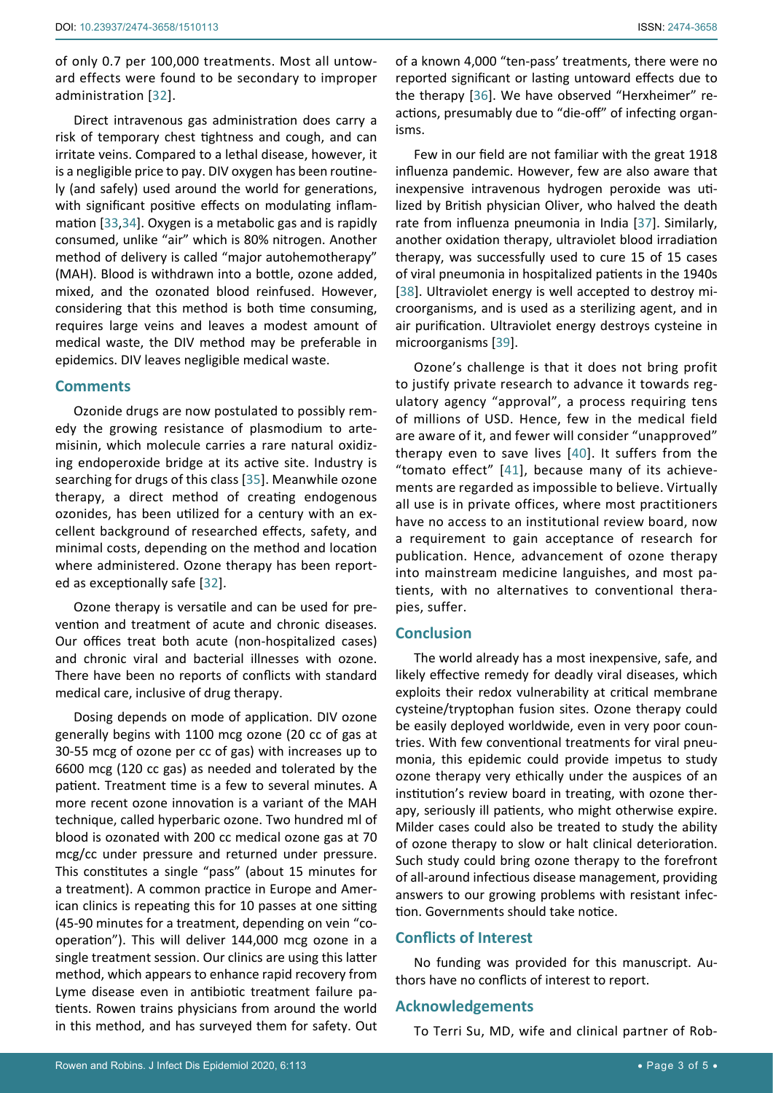of only 0.7 per 100,000 treatments. Most all untoward effects were found to be secondary to improper administration [\[32](#page-3-30)].

Direct intravenous gas administration does carry a risk of temporary chest tightness and cough, and can irritate veins. Compared to a lethal disease, however, it is a negligible price to pay. DIV oxygen has been routinely (and safely) used around the world for generations, with significant positive effects on modulating inflammation [\[33](#page-3-31),[34](#page-3-32)]. Oxygen is a metabolic gas and is rapidly consumed, unlike "air" which is 80% nitrogen. Another method of delivery is called "major autohemotherapy" (MAH). Blood is withdrawn into a bottle, ozone added, mixed, and the ozonated blood reinfused. However, considering that this method is both time consuming, requires large veins and leaves a modest amount of medical waste, the DIV method may be preferable in epidemics. DIV leaves negligible medical waste.

#### **Comments**

Ozonide drugs are now postulated to possibly remedy the growing resistance of plasmodium to artemisinin, which molecule carries a rare natural oxidizing endoperoxide bridge at its active site. Industry is searching for drugs of this class [[35\]](#page-3-33). Meanwhile ozone therapy, a direct method of creating endogenous ozonides, has been utilized for a century with an excellent background of researched effects, safety, and minimal costs, depending on the method and location where administered. Ozone therapy has been reported as exceptionally safe [[32](#page-3-30)].

Ozone therapy is versatile and can be used for prevention and treatment of acute and chronic diseases. Our offices treat both acute (non-hospitalized cases) and chronic viral and bacterial illnesses with ozone. There have been no reports of conflicts with standard medical care, inclusive of drug therapy.

Dosing depends on mode of application. DIV ozone generally begins with 1100 mcg ozone (20 cc of gas at 30-55 mcg of ozone per cc of gas) with increases up to 6600 mcg (120 cc gas) as needed and tolerated by the patient. Treatment time is a few to several minutes. A more recent ozone innovation is a variant of the MAH technique, called hyperbaric ozone. Two hundred ml of blood is ozonated with 200 cc medical ozone gas at 70 mcg/cc under pressure and returned under pressure. This constitutes a single "pass" (about 15 minutes for a treatment). A common practice in Europe and American clinics is repeating this for 10 passes at one sitting (45-90 minutes for a treatment, depending on vein "cooperation"). This will deliver 144,000 mcg ozone in a single treatment session. Our clinics are using this latter method, which appears to enhance rapid recovery from Lyme disease even in antibiotic treatment failure patients. Rowen trains physicians from around the world in this method, and has surveyed them for safety. Out

of a known 4,000 "ten-pass' treatments, there were no reported significant or lasting untoward effects due to the therapy [[36](#page-3-27)]. We have observed "Herxheimer" reactions, presumably due to "die-off" of infecting organisms.

Few in our field are not familiar with the great 1918 influenza pandemic. However, few are also aware that inexpensive intravenous hydrogen peroxide was utilized by British physician Oliver, who halved the death rate from influenza pneumonia in India [\[37](#page-3-28)]. Similarly, another oxidation therapy, ultraviolet blood irradiation therapy, was successfully used to cure 15 of 15 cases of viral pneumonia in hospitalized patients in the 1940s [\[38](#page-3-29)]. Ultraviolet energy is well accepted to destroy microorganisms, and is used as a sterilizing agent, and in air purification. Ultraviolet energy destroys cysteine in microorganisms [[39](#page-4-0)].

Ozone's challenge is that it does not bring profit to justify private research to advance it towards regulatory agency "approval", a process requiring tens of millions of USD. Hence, few in the medical field are aware of it, and fewer will consider "unapproved" therapy even to save lives [\[40](#page-4-1)]. It suffers from the "tomato effect" [[41](#page-4-2)], because many of its achievements are regarded as impossible to believe. Virtually all use is in private offices, where most practitioners have no access to an institutional review board, now a requirement to gain acceptance of research for publication. Hence, advancement of ozone therapy into mainstream medicine languishes, and most patients, with no alternatives to conventional therapies, suffer.

### **Conclusion**

The world already has a most inexpensive, safe, and likely effective remedy for deadly viral diseases, which exploits their redox vulnerability at critical membrane cysteine/tryptophan fusion sites. Ozone therapy could be easily deployed worldwide, even in very poor countries. With few conventional treatments for viral pneumonia, this epidemic could provide impetus to study ozone therapy very ethically under the auspices of an institution's review board in treating, with ozone therapy, seriously ill patients, who might otherwise expire. Milder cases could also be treated to study the ability of ozone therapy to slow or halt clinical deterioration. Such study could bring ozone therapy to the forefront of all-around infectious disease management, providing answers to our growing problems with resistant infection. Governments should take notice.

## **Conflicts of Interest**

No funding was provided for this manuscript. Authors have no conflicts of interest to report.

#### **Acknowledgements**

To Terri Su, MD, wife and clinical partner of Rob-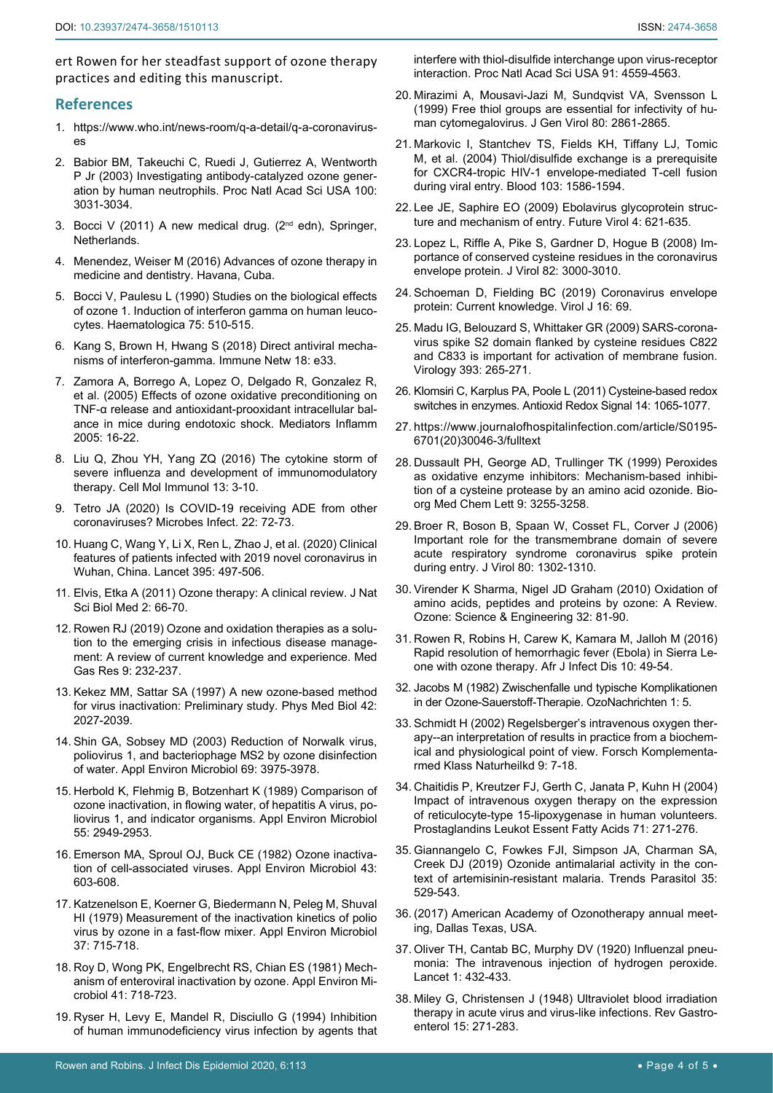ert Rowen for her steadfast support of ozone therapy practices and editing this manuscript.

#### **References**

- <span id="page-3-5"></span>1. [https://www.who.int/news-room/q-a-detail/q-a-coronavirus](https://www.who.int/news-room/q-a-detail/q-a-coronaviruses)[es](https://www.who.int/news-room/q-a-detail/q-a-coronaviruses)
- <span id="page-3-0"></span>2. [Babior BM, Takeuchi C, Ruedi J, Gutierrez A, Wentworth](https://www.ncbi.nlm.nih.gov/pmc/articles/PMC152239/)  [P Jr \(2003\) Investigating antibody-catalyzed ozone gener](https://www.ncbi.nlm.nih.gov/pmc/articles/PMC152239/)[ation by human neutrophils. Proc Natl Acad Sci USA 100:](https://www.ncbi.nlm.nih.gov/pmc/articles/PMC152239/)  [3031-3034.](https://www.ncbi.nlm.nih.gov/pmc/articles/PMC152239/)
- <span id="page-3-1"></span>3. Bocci V (2011) A new medical drug. (2<sup>nd</sup> edn), Springer, Netherlands.
- <span id="page-3-2"></span>4. Menendez, Weiser M (2016) Advances of ozone therapy in medicine and dentistry. Havana, Cuba.
- <span id="page-3-3"></span>5. [Bocci V, Paulesu L \(1990\) Studies on the biological effects](https://www.ncbi.nlm.nih.gov/pubmed/2129118)  [of ozone 1. Induction of interferon gamma on human leuco](https://www.ncbi.nlm.nih.gov/pubmed/2129118)[cytes. Haematologica 75: 510-515.](https://www.ncbi.nlm.nih.gov/pubmed/2129118)
- <span id="page-3-4"></span>6. [Kang S, Brown H, Hwang S \(2018\) Direct antiviral mecha](https://www.ncbi.nlm.nih.gov/pubmed/30402328)[nisms of interferon-gamma. Immune Netw 18: e33.](https://www.ncbi.nlm.nih.gov/pubmed/30402328)
- <span id="page-3-6"></span>7. [Zamora A, Borrego A, Lopez O, Delgado R, Gonzalez R,](https://www.ncbi.nlm.nih.gov/pubmed/15770062)  [et al. \(2005\) Effects of ozone oxidative preconditioning on](https://www.ncbi.nlm.nih.gov/pubmed/15770062)  [TNF-α release and antioxidant-prooxidant intracellular bal](https://www.ncbi.nlm.nih.gov/pubmed/15770062)[ance in mice during endotoxic shock. Mediators Inflamm](https://www.ncbi.nlm.nih.gov/pubmed/15770062)  [2005: 16-22.](https://www.ncbi.nlm.nih.gov/pubmed/15770062)
- <span id="page-3-7"></span>8. [Liu Q, Zhou YH, Yang ZQ \(2016\) The cytokine storm of](https://www.ncbi.nlm.nih.gov/pubmed/26189369)  [severe influenza and development of immunomodulatory](https://www.ncbi.nlm.nih.gov/pubmed/26189369)  [therapy. Cell Mol Immunol 13: 3-10.](https://www.ncbi.nlm.nih.gov/pubmed/26189369)
- <span id="page-3-8"></span>9. [Tetro JA \(2020\) Is COVID-19 receiving ADE from other](https://www.ncbi.nlm.nih.gov/pubmed/32092539)  [coronaviruses? Microbes Infect. 22: 72-73.](https://www.ncbi.nlm.nih.gov/pubmed/32092539)
- <span id="page-3-9"></span>10. [Huang C, Wang Y, Li X, Ren L, Zhao J, et al. \(2020\) Clinical](https://www.ncbi.nlm.nih.gov/pubmed/31986264)  [features of patients infected with 2019 novel coronavirus in](https://www.ncbi.nlm.nih.gov/pubmed/31986264)  [Wuhan, China. Lancet 395: 497-506.](https://www.ncbi.nlm.nih.gov/pubmed/31986264)
- <span id="page-3-10"></span>11. [Elvis, Etka A \(2011\) Ozone therapy: A clinical review. J Nat](https://www.ncbi.nlm.nih.gov/pmc/articles/PMC3312702/)  [Sci Biol Med 2: 66-70.](https://www.ncbi.nlm.nih.gov/pmc/articles/PMC3312702/)
- <span id="page-3-11"></span>12. [Rowen RJ \(2019\) Ozone and oxidation therapies as a solu](https://www.ncbi.nlm.nih.gov/pubmed/31898609)[tion to the emerging crisis in infectious disease manage](https://www.ncbi.nlm.nih.gov/pubmed/31898609)[ment: A review of current knowledge and experience. Med](https://www.ncbi.nlm.nih.gov/pubmed/31898609)  [Gas Res 9: 232-237.](https://www.ncbi.nlm.nih.gov/pubmed/31898609)
- <span id="page-3-12"></span>13. [Kekez MM, Sattar SA \(1997\) A new ozone-based method](https://www.ncbi.nlm.nih.gov/pubmed/9394395)  [for virus inactivation: Preliminary study. Phys Med Biol 42:](https://www.ncbi.nlm.nih.gov/pubmed/9394395)  [2027-2039.](https://www.ncbi.nlm.nih.gov/pubmed/9394395)
- 14. [Shin GA, Sobsey MD \(2003\) Reduction of Norwalk virus,](https://www.ncbi.nlm.nih.gov/pubmed/12839770)  [poliovirus 1, and bacteriophage MS2 by ozone disinfection](https://www.ncbi.nlm.nih.gov/pubmed/12839770)  [of water. Appl Environ Microbiol 69: 3975-3978.](https://www.ncbi.nlm.nih.gov/pubmed/12839770)
- 15. [Herbold K, Flehmig B, Botzenhart K \(1989\) Comparison of](https://www.ncbi.nlm.nih.gov/pubmed/2560362)  [ozone inactivation, in flowing water, of hepatitis A virus, po](https://www.ncbi.nlm.nih.gov/pubmed/2560362)[liovirus 1, and indicator organisms. Appl Environ Microbiol](https://www.ncbi.nlm.nih.gov/pubmed/2560362)  [55: 2949-2953.](https://www.ncbi.nlm.nih.gov/pubmed/2560362)
- 16. [Emerson MA, Sproul OJ, Buck CE \(1982\) Ozone inactiva](https://www.ncbi.nlm.nih.gov/pmc/articles/PMC241881/)[tion of cell-associated viruses. Appl Environ Microbiol 43:](https://www.ncbi.nlm.nih.gov/pmc/articles/PMC241881/)  [603-608.](https://www.ncbi.nlm.nih.gov/pmc/articles/PMC241881/)
- 17. [Katzenelson E, Koerner G, Biedermann N, Peleg M, Shuval](https://www.ncbi.nlm.nih.gov/pubmed/36847)  [HI \(1979\) Measurement of the inactivation kinetics of polio](https://www.ncbi.nlm.nih.gov/pubmed/36847)  [virus by ozone in a fast-flow mixer. Appl Environ Microbiol](https://www.ncbi.nlm.nih.gov/pubmed/36847)  [37: 715-718.](https://www.ncbi.nlm.nih.gov/pubmed/36847)
- <span id="page-3-13"></span>18. [Roy D, Wong PK, Engelbrecht RS, Chian ES \(1981\) Mech](https://www.ncbi.nlm.nih.gov/pubmed/6261692)[anism of enteroviral inactivation by ozone. Appl Environ Mi](https://www.ncbi.nlm.nih.gov/pubmed/6261692)[crobiol 41: 718-723.](https://www.ncbi.nlm.nih.gov/pubmed/6261692)
- <span id="page-3-14"></span>19. [Ryser H, Levy E, Mandel R, Disciullo G \(1994\) Inhibition](https://www.ncbi.nlm.nih.gov/pubmed/8183947)  [of human immunodeficiency virus infection by agents that](https://www.ncbi.nlm.nih.gov/pubmed/8183947)

[interfere with thiol-disulfide interchange upon virus-receptor](https://www.ncbi.nlm.nih.gov/pubmed/8183947)  [interaction. Proc Natl Acad Sci USA 91: 4559-4563.](https://www.ncbi.nlm.nih.gov/pubmed/8183947)

- <span id="page-3-15"></span>20. [Mirazimi A, Mousavi-Jazi M, Sundqvist VA, Svensson L](https://www.ncbi.nlm.nih.gov/pubmed/10580047)  [\(1999\) Free thiol groups are essential for infectivity of hu](https://www.ncbi.nlm.nih.gov/pubmed/10580047)[man cytomegalovirus. J Gen Virol 80: 2861-2865.](https://www.ncbi.nlm.nih.gov/pubmed/10580047)
- <span id="page-3-16"></span>21. [Markovic I, Stantchev TS, Fields KH, Tiffany LJ, Tomic](https://www.ncbi.nlm.nih.gov/pubmed/14592831)  [M, et al. \(2004\) Thiol/disulfide exchange is a prerequisite](https://www.ncbi.nlm.nih.gov/pubmed/14592831)  [for CXCR4-tropic HIV-1 envelope-mediated T-cell fusion](https://www.ncbi.nlm.nih.gov/pubmed/14592831)  [during viral entry. Blood 103: 1586-1594.](https://www.ncbi.nlm.nih.gov/pubmed/14592831)
- <span id="page-3-17"></span>22. [Lee JE, Saphire EO \(2009\) Ebolavirus glycoprotein struc](https://www.ncbi.nlm.nih.gov/pubmed/20198110)[ture and mechanism of entry. Future Virol 4: 621-635.](https://www.ncbi.nlm.nih.gov/pubmed/20198110)
- <span id="page-3-18"></span>23. [Lopez L, Riffle A, Pike S, Gardner D, Hogue B \(2008\) Im](https://www.ncbi.nlm.nih.gov/pubmed/18184703)[portance of conserved cysteine residues in the coronavirus](https://www.ncbi.nlm.nih.gov/pubmed/18184703)  [envelope protein. J Virol 82: 3000-3010.](https://www.ncbi.nlm.nih.gov/pubmed/18184703)
- <span id="page-3-19"></span>24. [Schoeman D, Fielding BC \(2019\) Coronavirus envelope](https://www.ncbi.nlm.nih.gov/pubmed/31133031)  [protein: Current knowledge. Virol J 16: 69.](https://www.ncbi.nlm.nih.gov/pubmed/31133031)
- <span id="page-3-20"></span>25. [Madu IG, Belouzard S, Whittaker GR \(2009\) SARS-corona](https://www.ncbi.nlm.nih.gov/pubmed/19717178)[virus spike S2 domain flanked by cysteine residues C822](https://www.ncbi.nlm.nih.gov/pubmed/19717178)  [and C833 is important for activation of membrane fusion.](https://www.ncbi.nlm.nih.gov/pubmed/19717178)  [Virology 393: 265-271.](https://www.ncbi.nlm.nih.gov/pubmed/19717178)
- <span id="page-3-21"></span>26. [Klomsiri C, Karplus PA, Poole L \(2011\) Cysteine-based redox](https://www.ncbi.nlm.nih.gov/pmc/articles/PMC3064533/)  [switches in enzymes. Antioxid Redox Signal 14: 1065-1077.](https://www.ncbi.nlm.nih.gov/pmc/articles/PMC3064533/)
- <span id="page-3-22"></span>27. [https://www.journalofhospitalinfection.com/article/S0195-](https://www.journalofhospitalinfection.com/article/S0195-6701(20)30046-3/fulltext) [6701\(20\)30046-3/fulltext](https://www.journalofhospitalinfection.com/article/S0195-6701(20)30046-3/fulltext)
- <span id="page-3-23"></span>28. [Dussault PH, George AD, Trullinger TK \(1999\) Peroxides](https://www.ncbi.nlm.nih.gov/pubmed/10576698)  [as oxidative enzyme inhibitors: Mechanism-based inhibi](https://www.ncbi.nlm.nih.gov/pubmed/10576698)[tion of a cysteine protease by an amino acid ozonide. Bio](https://www.ncbi.nlm.nih.gov/pubmed/10576698)[org Med Chem Lett 9: 3255-3258.](https://www.ncbi.nlm.nih.gov/pubmed/10576698)
- <span id="page-3-24"></span>29. [Broer R, Boson B, Spaan W, Cosset FL, Corver J \(2006\)](https://jvi.asm.org/content/80/3/1302)  [Important role for the transmembrane domain of severe](https://jvi.asm.org/content/80/3/1302)  [acute respiratory syndrome coronavirus spike protein](https://jvi.asm.org/content/80/3/1302)  [during entry. J Virol 80: 1302-1310.](https://jvi.asm.org/content/80/3/1302)
- <span id="page-3-25"></span>30. Virender K Sharma, Nigel JD Graham (2010) Oxidation of amino acids, peptides and proteins by ozone: A Review. Ozone: Science & Engineering 32: 81-90.
- <span id="page-3-26"></span>31. [Rowen R, Robins H, Carew K, Kamara M, Jalloh M \(2016\)](https://journals.athmsi.org/index.php/AJID/article/view/3578)  [Rapid resolution of hemorrhagic fever \(Ebola\) in Sierra Le](https://journals.athmsi.org/index.php/AJID/article/view/3578)[one with ozone therapy. Afr J Infect Dis 10: 49-54.](https://journals.athmsi.org/index.php/AJID/article/view/3578)
- <span id="page-3-30"></span>32. Jacobs M (1982) Zwischenfalle und typische Komplikationen in der Ozone-Sauerstoff-Therapie. OzoNachrichten 1: 5.
- <span id="page-3-31"></span>33. [Schmidt H \(2002\) Regelsberger's intravenous oxygen ther](https://www.ncbi.nlm.nih.gov/pubmed/11893843)[apy--an interpretation of results in practice from a biochem](https://www.ncbi.nlm.nih.gov/pubmed/11893843)[ical and physiological point of view. Forsch Komplementa](https://www.ncbi.nlm.nih.gov/pubmed/11893843)[rmed Klass Naturheilkd 9: 7-18.](https://www.ncbi.nlm.nih.gov/pubmed/11893843)
- <span id="page-3-32"></span>34. [Chaitidis P, Kreutzer FJ, Gerth C, Janata P, Kuhn H \(2004\)](https://www.ncbi.nlm.nih.gov/pubmed/15380813)  [Impact of intravenous oxygen therapy on the expression](https://www.ncbi.nlm.nih.gov/pubmed/15380813)  [of reticulocyte-type 15-lipoxygenase in human volunteers.](https://www.ncbi.nlm.nih.gov/pubmed/15380813)  [Prostaglandins Leukot Essent Fatty Acids 71: 271-276.](https://www.ncbi.nlm.nih.gov/pubmed/15380813)
- <span id="page-3-33"></span>35. [Giannangelo C, Fowkes FJI, Simpson JA, Charman SA,](https://www.ncbi.nlm.nih.gov/pubmed/31176584)  [Creek DJ \(2019\) Ozonide antimalarial activity in the con](https://www.ncbi.nlm.nih.gov/pubmed/31176584)[text of artemisinin-resistant malaria. Trends Parasitol 35:](https://www.ncbi.nlm.nih.gov/pubmed/31176584)  [529-543.](https://www.ncbi.nlm.nih.gov/pubmed/31176584)
- <span id="page-3-27"></span>36. (2017) American Academy of Ozonotherapy annual meeting, Dallas Texas, USA.
- <span id="page-3-28"></span>37. Oliver TH, Cantab BC, Murphy DV (1920) Influenzal pneumonia: The intravenous injection of hydrogen peroxide. Lancet 1: 432-433.
- <span id="page-3-29"></span>38. [Miley G, Christensen J \(1948\) Ultraviolet blood irradiation](https://www.ncbi.nlm.nih.gov/pubmed/18905051)  [therapy in acute virus and virus-like infections. Rev Gastro](https://www.ncbi.nlm.nih.gov/pubmed/18905051)[enterol 15: 271-283.](https://www.ncbi.nlm.nih.gov/pubmed/18905051)